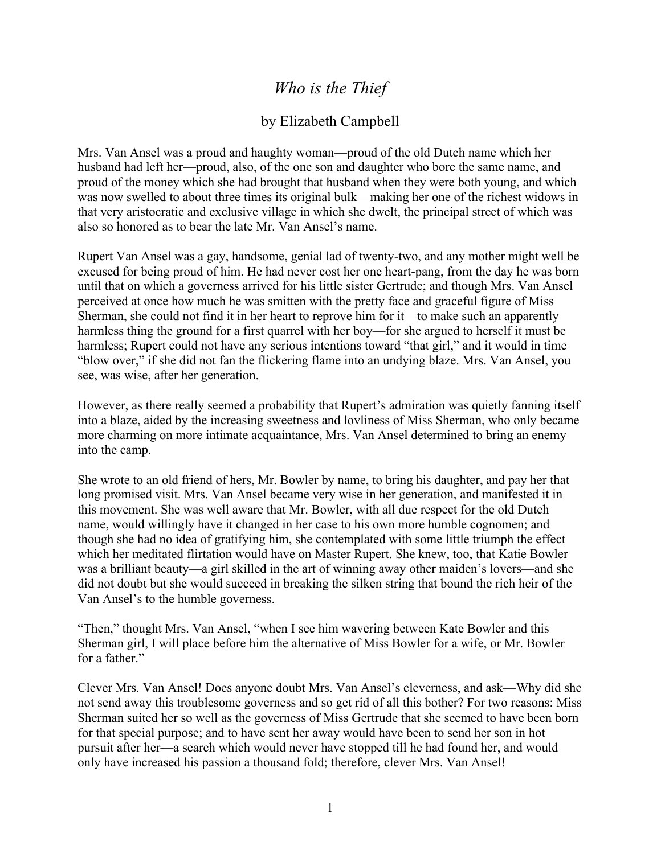## *Who is the Thief*

## by Elizabeth Campbell

Mrs. Van Ansel was a proud and haughty woman—proud of the old Dutch name which her husband had left her—proud, also, of the one son and daughter who bore the same name, and proud of the money which she had brought that husband when they were both young, and which was now swelled to about three times its original bulk—making her one of the richest widows in that very aristocratic and exclusive village in which she dwelt, the principal street of which was also so honored as to bear the late Mr. Van Ansel's name.

Rupert Van Ansel was a gay, handsome, genial lad of twenty-two, and any mother might well be excused for being proud of him. He had never cost her one heart-pang, from the day he was born until that on which a governess arrived for his little sister Gertrude; and though Mrs. Van Ansel perceived at once how much he was smitten with the pretty face and graceful figure of Miss Sherman, she could not find it in her heart to reprove him for it—to make such an apparently harmless thing the ground for a first quarrel with her boy—for she argued to herself it must be harmless; Rupert could not have any serious intentions toward "that girl," and it would in time "blow over," if she did not fan the flickering flame into an undying blaze. Mrs. Van Ansel, you see, was wise, after her generation.

However, as there really seemed a probability that Rupert's admiration was quietly fanning itself into a blaze, aided by the increasing sweetness and lovliness of Miss Sherman, who only became more charming on more intimate acquaintance, Mrs. Van Ansel determined to bring an enemy into the camp.

She wrote to an old friend of hers, Mr. Bowler by name, to bring his daughter, and pay her that long promised visit. Mrs. Van Ansel became very wise in her generation, and manifested it in this movement. She was well aware that Mr. Bowler, with all due respect for the old Dutch name, would willingly have it changed in her case to his own more humble cognomen; and though she had no idea of gratifying him, she contemplated with some little triumph the effect which her meditated flirtation would have on Master Rupert. She knew, too, that Katie Bowler was a brilliant beauty—a girl skilled in the art of winning away other maiden's lovers—and she did not doubt but she would succeed in breaking the silken string that bound the rich heir of the Van Ansel's to the humble governess.

"Then," thought Mrs. Van Ansel, "when I see him wavering between Kate Bowler and this Sherman girl, I will place before him the alternative of Miss Bowler for a wife, or Mr. Bowler for a father."

Clever Mrs. Van Ansel! Does anyone doubt Mrs. Van Ansel's cleverness, and ask—Why did she not send away this troublesome governess and so get rid of all this bother? For two reasons: Miss Sherman suited her so well as the governess of Miss Gertrude that she seemed to have been born for that special purpose; and to have sent her away would have been to send her son in hot pursuit after her—a search which would never have stopped till he had found her, and would only have increased his passion a thousand fold; therefore, clever Mrs. Van Ansel!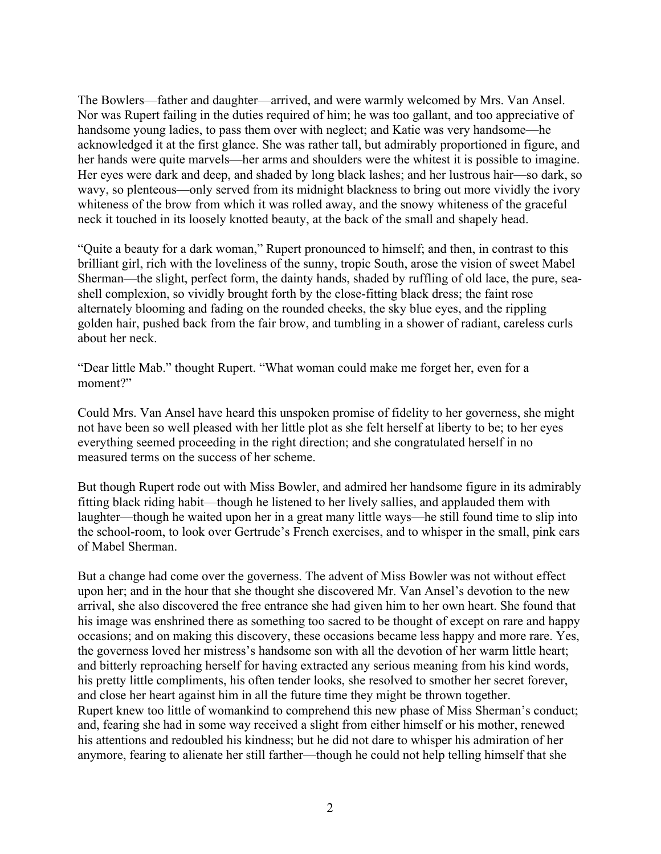The Bowlers—father and daughter—arrived, and were warmly welcomed by Mrs. Van Ansel. Nor was Rupert failing in the duties required of him; he was too gallant, and too appreciative of handsome young ladies, to pass them over with neglect; and Katie was very handsome—he acknowledged it at the first glance. She was rather tall, but admirably proportioned in figure, and her hands were quite marvels—her arms and shoulders were the whitest it is possible to imagine. Her eyes were dark and deep, and shaded by long black lashes; and her lustrous hair—so dark, so wavy, so plenteous—only served from its midnight blackness to bring out more vividly the ivory whiteness of the brow from which it was rolled away, and the snowy whiteness of the graceful neck it touched in its loosely knotted beauty, at the back of the small and shapely head.

"Quite a beauty for a dark woman," Rupert pronounced to himself; and then, in contrast to this brilliant girl, rich with the loveliness of the sunny, tropic South, arose the vision of sweet Mabel Sherman—the slight, perfect form, the dainty hands, shaded by ruffling of old lace, the pure, seashell complexion, so vividly brought forth by the close-fitting black dress; the faint rose alternately blooming and fading on the rounded cheeks, the sky blue eyes, and the rippling golden hair, pushed back from the fair brow, and tumbling in a shower of radiant, careless curls about her neck.

"Dear little Mab." thought Rupert. "What woman could make me forget her, even for a moment?"

Could Mrs. Van Ansel have heard this unspoken promise of fidelity to her governess, she might not have been so well pleased with her little plot as she felt herself at liberty to be; to her eyes everything seemed proceeding in the right direction; and she congratulated herself in no measured terms on the success of her scheme.

But though Rupert rode out with Miss Bowler, and admired her handsome figure in its admirably fitting black riding habit—though he listened to her lively sallies, and applauded them with laughter—though he waited upon her in a great many little ways—he still found time to slip into the school-room, to look over Gertrude's French exercises, and to whisper in the small, pink ears of Mabel Sherman.

But a change had come over the governess. The advent of Miss Bowler was not without effect upon her; and in the hour that she thought she discovered Mr. Van Ansel's devotion to the new arrival, she also discovered the free entrance she had given him to her own heart. She found that his image was enshrined there as something too sacred to be thought of except on rare and happy occasions; and on making this discovery, these occasions became less happy and more rare. Yes, the governess loved her mistress's handsome son with all the devotion of her warm little heart; and bitterly reproaching herself for having extracted any serious meaning from his kind words, his pretty little compliments, his often tender looks, she resolved to smother her secret forever, and close her heart against him in all the future time they might be thrown together. Rupert knew too little of womankind to comprehend this new phase of Miss Sherman's conduct; and, fearing she had in some way received a slight from either himself or his mother, renewed his attentions and redoubled his kindness; but he did not dare to whisper his admiration of her anymore, fearing to alienate her still farther—though he could not help telling himself that she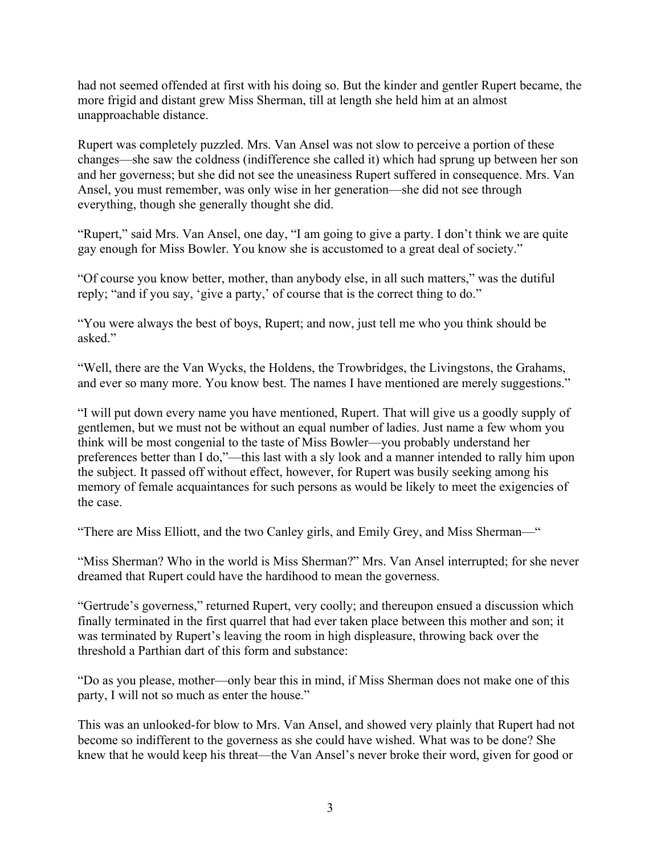had not seemed offended at first with his doing so. But the kinder and gentler Rupert became, the more frigid and distant grew Miss Sherman, till at length she held him at an almost unapproachable distance.

Rupert was completely puzzled. Mrs. Van Ansel was not slow to perceive a portion of these changes—she saw the coldness (indifference she called it) which had sprung up between her son and her governess; but she did not see the uneasiness Rupert suffered in consequence. Mrs. Van Ansel, you must remember, was only wise in her generation—she did not see through everything, though she generally thought she did.

"Rupert," said Mrs. Van Ansel, one day, "I am going to give a party. I don't think we are quite gay enough for Miss Bowler. You know she is accustomed to a great deal of society."

"Of course you know better, mother, than anybody else, in all such matters," was the dutiful reply; "and if you say, 'give a party,' of course that is the correct thing to do."

"You were always the best of boys, Rupert; and now, just tell me who you think should be asked."

"Well, there are the Van Wycks, the Holdens, the Trowbridges, the Livingstons, the Grahams, and ever so many more. You know best. The names I have mentioned are merely suggestions."

"I will put down every name you have mentioned, Rupert. That will give us a goodly supply of gentlemen, but we must not be without an equal number of ladies. Just name a few whom you think will be most congenial to the taste of Miss Bowler—you probably understand her preferences better than I do,"—this last with a sly look and a manner intended to rally him upon the subject. It passed off without effect, however, for Rupert was busily seeking among his memory of female acquaintances for such persons as would be likely to meet the exigencies of the case.

"There are Miss Elliott, and the two Canley girls, and Emily Grey, and Miss Sherman—"

"Miss Sherman? Who in the world is Miss Sherman?" Mrs. Van Ansel interrupted; for she never dreamed that Rupert could have the hardihood to mean the governess.

"Gertrude's governess," returned Rupert, very coolly; and thereupon ensued a discussion which finally terminated in the first quarrel that had ever taken place between this mother and son; it was terminated by Rupert's leaving the room in high displeasure, throwing back over the threshold a Parthian dart of this form and substance:

"Do as you please, mother—only bear this in mind, if Miss Sherman does not make one of this party, I will not so much as enter the house."

This was an unlooked-for blow to Mrs. Van Ansel, and showed very plainly that Rupert had not become so indifferent to the governess as she could have wished. What was to be done? She knew that he would keep his threat—the Van Ansel's never broke their word, given for good or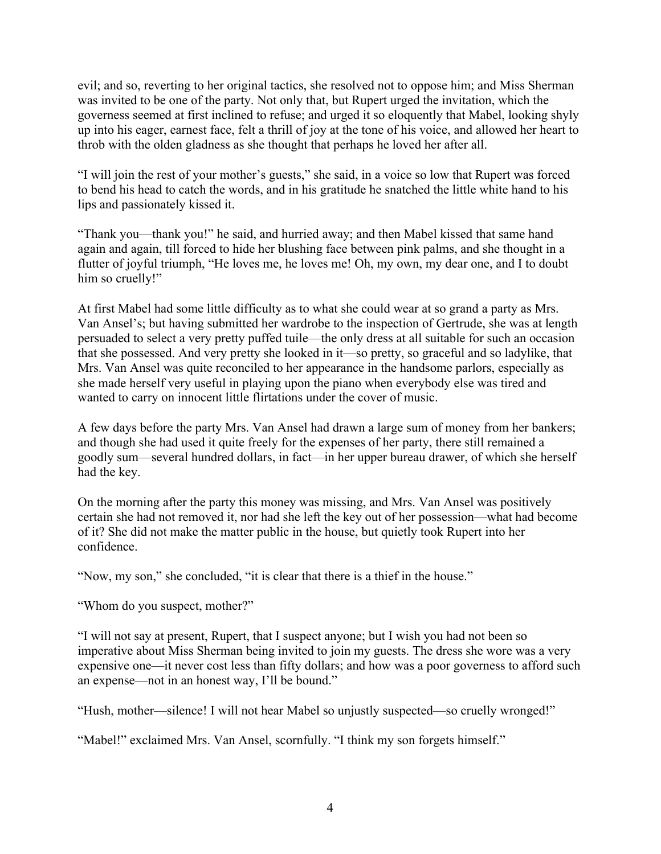evil; and so, reverting to her original tactics, she resolved not to oppose him; and Miss Sherman was invited to be one of the party. Not only that, but Rupert urged the invitation, which the governess seemed at first inclined to refuse; and urged it so eloquently that Mabel, looking shyly up into his eager, earnest face, felt a thrill of joy at the tone of his voice, and allowed her heart to throb with the olden gladness as she thought that perhaps he loved her after all.

"I will join the rest of your mother's guests," she said, in a voice so low that Rupert was forced to bend his head to catch the words, and in his gratitude he snatched the little white hand to his lips and passionately kissed it.

"Thank you—thank you!" he said, and hurried away; and then Mabel kissed that same hand again and again, till forced to hide her blushing face between pink palms, and she thought in a flutter of joyful triumph, "He loves me, he loves me! Oh, my own, my dear one, and I to doubt him so cruelly!"

At first Mabel had some little difficulty as to what she could wear at so grand a party as Mrs. Van Ansel's; but having submitted her wardrobe to the inspection of Gertrude, she was at length persuaded to select a very pretty puffed tuile—the only dress at all suitable for such an occasion that she possessed. And very pretty she looked in it—so pretty, so graceful and so ladylike, that Mrs. Van Ansel was quite reconciled to her appearance in the handsome parlors, especially as she made herself very useful in playing upon the piano when everybody else was tired and wanted to carry on innocent little flirtations under the cover of music.

A few days before the party Mrs. Van Ansel had drawn a large sum of money from her bankers; and though she had used it quite freely for the expenses of her party, there still remained a goodly sum—several hundred dollars, in fact—in her upper bureau drawer, of which she herself had the key.

On the morning after the party this money was missing, and Mrs. Van Ansel was positively certain she had not removed it, nor had she left the key out of her possession—what had become of it? She did not make the matter public in the house, but quietly took Rupert into her confidence.

"Now, my son," she concluded, "it is clear that there is a thief in the house."

"Whom do you suspect, mother?"

"I will not say at present, Rupert, that I suspect anyone; but I wish you had not been so imperative about Miss Sherman being invited to join my guests. The dress she wore was a very expensive one—it never cost less than fifty dollars; and how was a poor governess to afford such an expense—not in an honest way, I'll be bound."

"Hush, mother—silence! I will not hear Mabel so unjustly suspected—so cruelly wronged!"

"Mabel!" exclaimed Mrs. Van Ansel, scornfully. "I think my son forgets himself."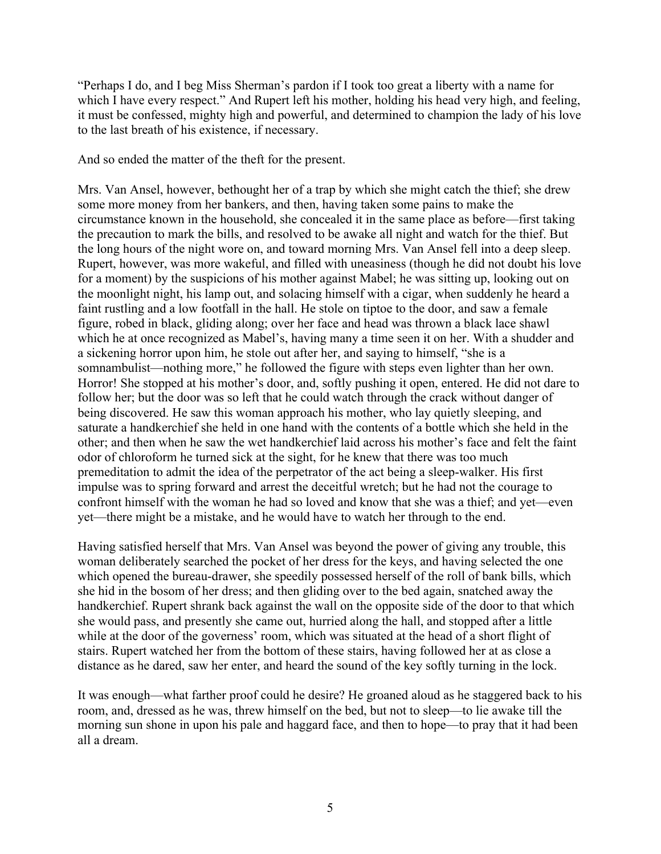"Perhaps I do, and I beg Miss Sherman's pardon if I took too great a liberty with a name for which I have every respect." And Rupert left his mother, holding his head very high, and feeling, it must be confessed, mighty high and powerful, and determined to champion the lady of his love to the last breath of his existence, if necessary.

And so ended the matter of the theft for the present.

Mrs. Van Ansel, however, bethought her of a trap by which she might catch the thief; she drew some more money from her bankers, and then, having taken some pains to make the circumstance known in the household, she concealed it in the same place as before—first taking the precaution to mark the bills, and resolved to be awake all night and watch for the thief. But the long hours of the night wore on, and toward morning Mrs. Van Ansel fell into a deep sleep. Rupert, however, was more wakeful, and filled with uneasiness (though he did not doubt his love for a moment) by the suspicions of his mother against Mabel; he was sitting up, looking out on the moonlight night, his lamp out, and solacing himself with a cigar, when suddenly he heard a faint rustling and a low footfall in the hall. He stole on tiptoe to the door, and saw a female figure, robed in black, gliding along; over her face and head was thrown a black lace shawl which he at once recognized as Mabel's, having many a time seen it on her. With a shudder and a sickening horror upon him, he stole out after her, and saying to himself, "she is a somnambulist—nothing more," he followed the figure with steps even lighter than her own. Horror! She stopped at his mother's door, and, softly pushing it open, entered. He did not dare to follow her; but the door was so left that he could watch through the crack without danger of being discovered. He saw this woman approach his mother, who lay quietly sleeping, and saturate a handkerchief she held in one hand with the contents of a bottle which she held in the other; and then when he saw the wet handkerchief laid across his mother's face and felt the faint odor of chloroform he turned sick at the sight, for he knew that there was too much premeditation to admit the idea of the perpetrator of the act being a sleep-walker. His first impulse was to spring forward and arrest the deceitful wretch; but he had not the courage to confront himself with the woman he had so loved and know that she was a thief; and yet—even yet—there might be a mistake, and he would have to watch her through to the end.

Having satisfied herself that Mrs. Van Ansel was beyond the power of giving any trouble, this woman deliberately searched the pocket of her dress for the keys, and having selected the one which opened the bureau-drawer, she speedily possessed herself of the roll of bank bills, which she hid in the bosom of her dress; and then gliding over to the bed again, snatched away the handkerchief. Rupert shrank back against the wall on the opposite side of the door to that which she would pass, and presently she came out, hurried along the hall, and stopped after a little while at the door of the governess' room, which was situated at the head of a short flight of stairs. Rupert watched her from the bottom of these stairs, having followed her at as close a distance as he dared, saw her enter, and heard the sound of the key softly turning in the lock.

It was enough—what farther proof could he desire? He groaned aloud as he staggered back to his room, and, dressed as he was, threw himself on the bed, but not to sleep—to lie awake till the morning sun shone in upon his pale and haggard face, and then to hope—to pray that it had been all a dream.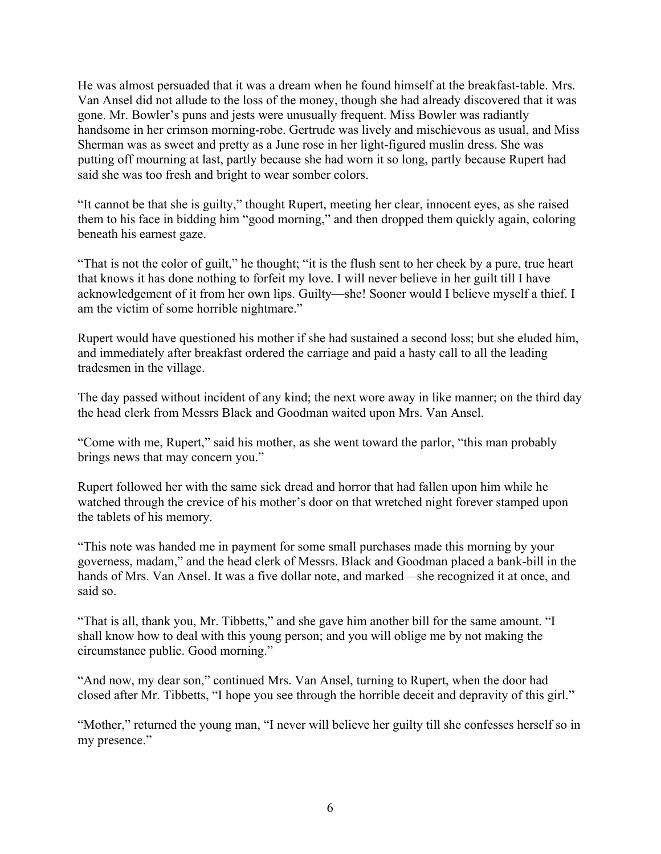He was almost persuaded that it was a dream when he found himself at the breakfast-table. Mrs. Van Ansel did not allude to the loss of the money, though she had already discovered that it was gone. Mr. Bowler's puns and jests were unusually frequent. Miss Bowler was radiantly handsome in her crimson morning-robe. Gertrude was lively and mischievous as usual, and Miss Sherman was as sweet and pretty as a June rose in her light-figured muslin dress. She was putting off mourning at last, partly because she had worn it so long, partly because Rupert had said she was too fresh and bright to wear somber colors.

"It cannot be that she is guilty," thought Rupert, meeting her clear, innocent eyes, as she raised them to his face in bidding him "good morning," and then dropped them quickly again, coloring beneath his earnest gaze.

"That is not the color of guilt," he thought; "it is the flush sent to her cheek by a pure, true heart that knows it has done nothing to forfeit my love. I will never believe in her guilt till I have acknowledgement of it from her own lips. Guilty—she! Sooner would I believe myself a thief. I am the victim of some horrible nightmare."

Rupert would have questioned his mother if she had sustained a second loss; but she eluded him, and immediately after breakfast ordered the carriage and paid a hasty call to all the leading tradesmen in the village.

The day passed without incident of any kind; the next wore away in like manner; on the third day the head clerk from Messrs Black and Goodman waited upon Mrs. Van Ansel.

"Come with me, Rupert," said his mother, as she went toward the parlor, "this man probably brings news that may concern you."

Rupert followed her with the same sick dread and horror that had fallen upon him while he watched through the crevice of his mother's door on that wretched night forever stamped upon the tablets of his memory.

"This note was handed me in payment for some small purchases made this morning by your governess, madam," and the head clerk of Messrs. Black and Goodman placed a bank-bill in the hands of Mrs. Van Ansel. It was a five dollar note, and marked—she recognized it at once, and said so.

"That is all, thank you, Mr. Tibbetts," and she gave him another bill for the same amount. "I shall know how to deal with this young person; and you will oblige me by not making the circumstance public. Good morning."

"And now, my dear son," continued Mrs. Van Ansel, turning to Rupert, when the door had closed after Mr. Tibbetts, "I hope you see through the horrible deceit and depravity of this girl."

"Mother," returned the young man, "I never will believe her guilty till she confesses herself so in my presence."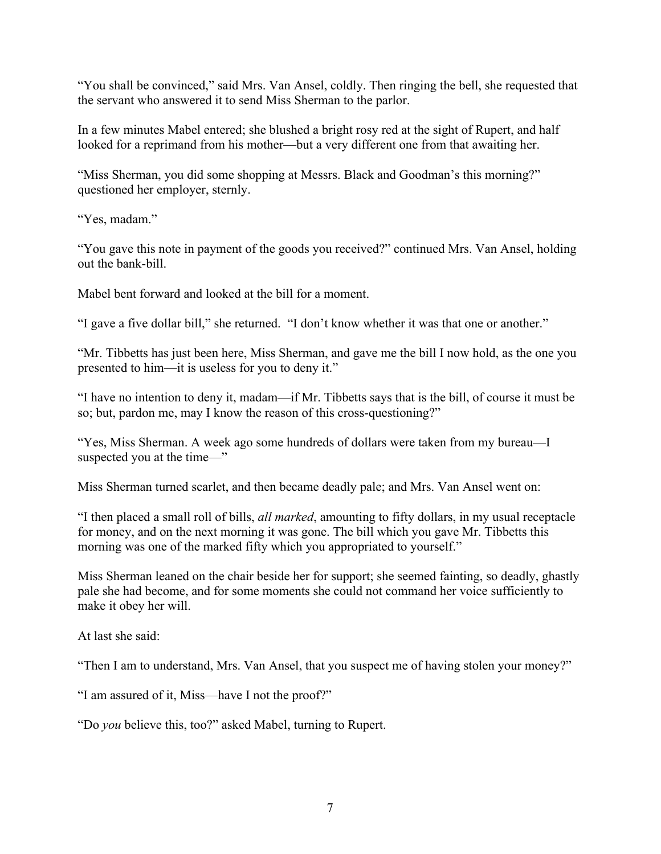"You shall be convinced," said Mrs. Van Ansel, coldly. Then ringing the bell, she requested that the servant who answered it to send Miss Sherman to the parlor.

In a few minutes Mabel entered; she blushed a bright rosy red at the sight of Rupert, and half looked for a reprimand from his mother—but a very different one from that awaiting her.

"Miss Sherman, you did some shopping at Messrs. Black and Goodman's this morning?" questioned her employer, sternly.

"Yes, madam."

"You gave this note in payment of the goods you received?" continued Mrs. Van Ansel, holding out the bank-bill.

Mabel bent forward and looked at the bill for a moment.

"I gave a five dollar bill," she returned. "I don't know whether it was that one or another."

"Mr. Tibbetts has just been here, Miss Sherman, and gave me the bill I now hold, as the one you presented to him—it is useless for you to deny it."

"I have no intention to deny it, madam—if Mr. Tibbetts says that is the bill, of course it must be so; but, pardon me, may I know the reason of this cross-questioning?"

"Yes, Miss Sherman. A week ago some hundreds of dollars were taken from my bureau—I suspected you at the time—"

Miss Sherman turned scarlet, and then became deadly pale; and Mrs. Van Ansel went on:

"I then placed a small roll of bills, *all marked*, amounting to fifty dollars, in my usual receptacle for money, and on the next morning it was gone. The bill which you gave Mr. Tibbetts this morning was one of the marked fifty which you appropriated to yourself."

Miss Sherman leaned on the chair beside her for support; she seemed fainting, so deadly, ghastly pale she had become, and for some moments she could not command her voice sufficiently to make it obey her will.

At last she said:

"Then I am to understand, Mrs. Van Ansel, that you suspect me of having stolen your money?"

"I am assured of it, Miss—have I not the proof?"

"Do *you* believe this, too?" asked Mabel, turning to Rupert.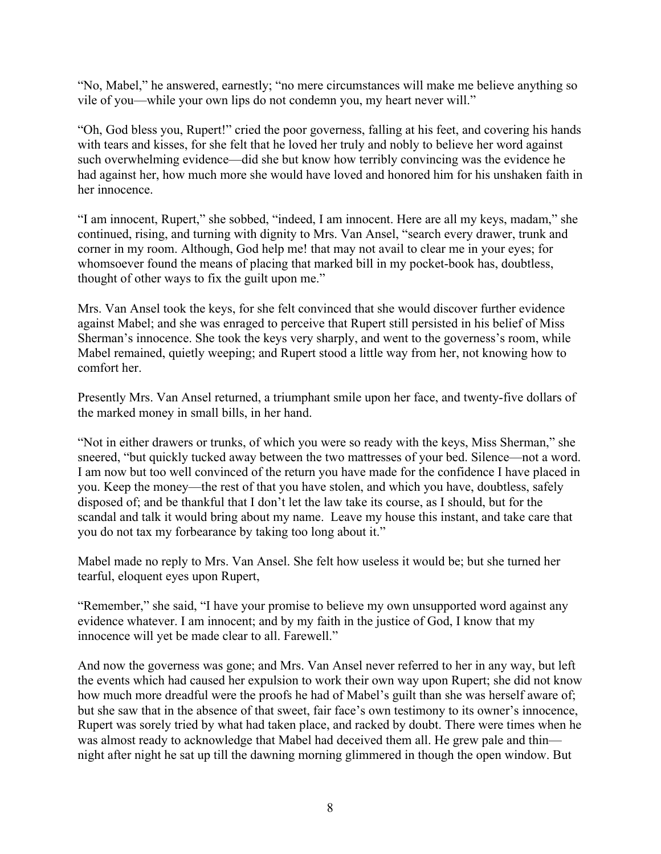"No, Mabel," he answered, earnestly; "no mere circumstances will make me believe anything so vile of you—while your own lips do not condemn you, my heart never will."

"Oh, God bless you, Rupert!" cried the poor governess, falling at his feet, and covering his hands with tears and kisses, for she felt that he loved her truly and nobly to believe her word against such overwhelming evidence—did she but know how terribly convincing was the evidence he had against her, how much more she would have loved and honored him for his unshaken faith in her innocence.

"I am innocent, Rupert," she sobbed, "indeed, I am innocent. Here are all my keys, madam," she continued, rising, and turning with dignity to Mrs. Van Ansel, "search every drawer, trunk and corner in my room. Although, God help me! that may not avail to clear me in your eyes; for whomsoever found the means of placing that marked bill in my pocket-book has, doubtless, thought of other ways to fix the guilt upon me."

Mrs. Van Ansel took the keys, for she felt convinced that she would discover further evidence against Mabel; and she was enraged to perceive that Rupert still persisted in his belief of Miss Sherman's innocence. She took the keys very sharply, and went to the governess's room, while Mabel remained, quietly weeping; and Rupert stood a little way from her, not knowing how to comfort her.

Presently Mrs. Van Ansel returned, a triumphant smile upon her face, and twenty-five dollars of the marked money in small bills, in her hand.

"Not in either drawers or trunks, of which you were so ready with the keys, Miss Sherman," she sneered, "but quickly tucked away between the two mattresses of your bed. Silence—not a word. I am now but too well convinced of the return you have made for the confidence I have placed in you. Keep the money—the rest of that you have stolen, and which you have, doubtless, safely disposed of; and be thankful that I don't let the law take its course, as I should, but for the scandal and talk it would bring about my name. Leave my house this instant, and take care that you do not tax my forbearance by taking too long about it."

Mabel made no reply to Mrs. Van Ansel. She felt how useless it would be; but she turned her tearful, eloquent eyes upon Rupert,

"Remember," she said, "I have your promise to believe my own unsupported word against any evidence whatever. I am innocent; and by my faith in the justice of God, I know that my innocence will yet be made clear to all. Farewell."

And now the governess was gone; and Mrs. Van Ansel never referred to her in any way, but left the events which had caused her expulsion to work their own way upon Rupert; she did not know how much more dreadful were the proofs he had of Mabel's guilt than she was herself aware of; but she saw that in the absence of that sweet, fair face's own testimony to its owner's innocence, Rupert was sorely tried by what had taken place, and racked by doubt. There were times when he was almost ready to acknowledge that Mabel had deceived them all. He grew pale and thin night after night he sat up till the dawning morning glimmered in though the open window. But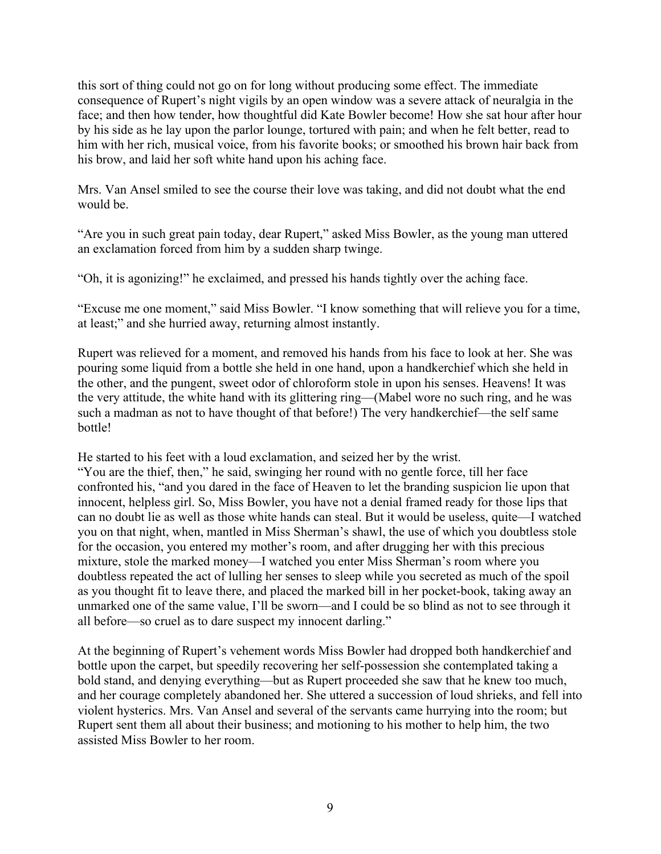this sort of thing could not go on for long without producing some effect. The immediate consequence of Rupert's night vigils by an open window was a severe attack of neuralgia in the face; and then how tender, how thoughtful did Kate Bowler become! How she sat hour after hour by his side as he lay upon the parlor lounge, tortured with pain; and when he felt better, read to him with her rich, musical voice, from his favorite books; or smoothed his brown hair back from his brow, and laid her soft white hand upon his aching face.

Mrs. Van Ansel smiled to see the course their love was taking, and did not doubt what the end would be.

"Are you in such great pain today, dear Rupert," asked Miss Bowler, as the young man uttered an exclamation forced from him by a sudden sharp twinge.

"Oh, it is agonizing!" he exclaimed, and pressed his hands tightly over the aching face.

"Excuse me one moment," said Miss Bowler. "I know something that will relieve you for a time, at least;" and she hurried away, returning almost instantly.

Rupert was relieved for a moment, and removed his hands from his face to look at her. She was pouring some liquid from a bottle she held in one hand, upon a handkerchief which she held in the other, and the pungent, sweet odor of chloroform stole in upon his senses. Heavens! It was the very attitude, the white hand with its glittering ring—(Mabel wore no such ring, and he was such a madman as not to have thought of that before!) The very handkerchief—the self same bottle!

He started to his feet with a loud exclamation, and seized her by the wrist.

"You are the thief, then," he said, swinging her round with no gentle force, till her face confronted his, "and you dared in the face of Heaven to let the branding suspicion lie upon that innocent, helpless girl. So, Miss Bowler, you have not a denial framed ready for those lips that can no doubt lie as well as those white hands can steal. But it would be useless, quite—I watched you on that night, when, mantled in Miss Sherman's shawl, the use of which you doubtless stole for the occasion, you entered my mother's room, and after drugging her with this precious mixture, stole the marked money—I watched you enter Miss Sherman's room where you doubtless repeated the act of lulling her senses to sleep while you secreted as much of the spoil as you thought fit to leave there, and placed the marked bill in her pocket-book, taking away an unmarked one of the same value, I'll be sworn—and I could be so blind as not to see through it all before—so cruel as to dare suspect my innocent darling."

At the beginning of Rupert's vehement words Miss Bowler had dropped both handkerchief and bottle upon the carpet, but speedily recovering her self-possession she contemplated taking a bold stand, and denying everything—but as Rupert proceeded she saw that he knew too much, and her courage completely abandoned her. She uttered a succession of loud shrieks, and fell into violent hysterics. Mrs. Van Ansel and several of the servants came hurrying into the room; but Rupert sent them all about their business; and motioning to his mother to help him, the two assisted Miss Bowler to her room.